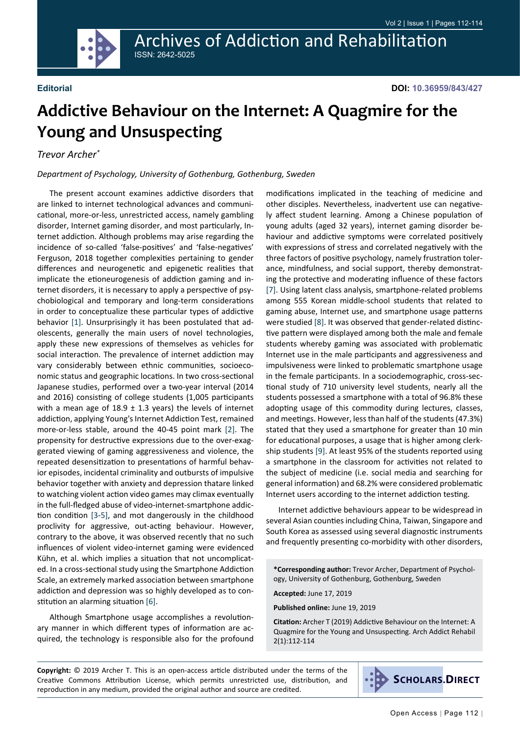Archives of Addiction and Rehabilitation ISSN: 2642-5025



# **Addictive Behaviour on the Internet: A Quagmire for the Young and Unsuspecting**

#### *Trevor Archer\**

#### *Department of Psychology, University of Gothenburg, Gothenburg, Sweden*

The present account examines addictive disorders that are linked to internet technological advances and communicational, more-or-less, unrestricted access, namely gambling disorder, Internet gaming disorder, and most particularly, Internet addiction. Although problems may arise regarding the incidence of so-called 'false-positives' and 'false-negatives' Ferguson, 2018 together complexities pertaining to gender differences and neurogenetic and epigenetic realities that implicate the etioneurogenesis of addiction gaming and internet disorders, it is necessary to apply a perspective of psychobiological and temporary and long-term considerations in order to conceptualize these particular types of addictive behavior [[1\]](#page-2-0). Unsurprisingly it has been postulated that adolescents, generally the main users of novel technologies, apply these new expressions of themselves as vehicles for social interaction. The prevalence of internet addiction may vary considerably between ethnic communities, socioeconomic status and geographic locations. In two cross-sectional Japanese studies, performed over a two-year interval (2014 and 2016) consisting of college students (1,005 participants with a mean age of  $18.9 \pm 1.3$  years) the levels of internet addiction, applying Young's Internet Addiction Test, remained more-or-less stable, around the 40-45 point mark [[2\]](#page-2-1). The propensity for destructive expressions due to the over-exaggerated viewing of gaming aggressiveness and violence, the repeated desensitization to presentations of harmful behavior episodes, incidental criminality and outbursts of impulsive behavior together with anxiety and depression thatare linked to watching violent action video games may climax eventually in the full-fledged abuse of video-internet-smartphone addiction condition [\[3](#page-2-2)-[5](#page-2-3)], and mot dangerously in the childhood proclivity for aggressive, out-acting behaviour. However, contrary to the above, it was observed recently that no such influences of violent video-internet gaming were evidenced Kühn, et al. which implies a situation that not uncomplicated. In a cross-sectional study using the Smartphone Addiction Scale, an extremely marked association between smartphone addiction and depression was so highly developed as to constitution an alarming situation [\[6](#page-2-4)].

Although Smartphone usage accomplishes a revolutionary manner in which different types of information are acquired, the technology is responsible also for the profound

modifications implicated in the teaching of medicine and other disciples. Nevertheless, inadvertent use can negatively affect student learning. Among a Chinese population of young adults (aged 32 years), internet gaming disorder behaviour and addictive symptoms were correlated positively with expressions of stress and correlated negatively with the three factors of positive psychology, namely frustration tolerance, mindfulness, and social support, thereby demonstrating the protective and moderating influence of these factors [[7\]](#page-2-5). Using latent class analysis, smartphone-related problems among 555 Korean middle-school students that related to gaming abuse, Internet use, and smartphone usage patterns were studied [[8\]](#page-2-6). It was observed that gender-related distinctive pattern were displayed among both the male and female students whereby gaming was associated with problematic Internet use in the male participants and aggressiveness and impulsiveness were linked to problematic smartphone usage in the female participants. In a sociodemographic, cross-sectional study of 710 university level students, nearly all the students possessed a smartphone with a total of 96.8% these adopting usage of this commodity during lectures, classes, and meetings. However, less than half of the students (47.3%) stated that they used a smartphone for greater than 10 min for educational purposes, a usage that is higher among clerkship students [\[9](#page-2-7)]. At least 95% of the students reported using a smartphone in the classroom for activities not related to the subject of medicine (i.e. social media and searching for general information) and 68.2% were considered problematic Internet users according to the internet addiction testing.

Internet addictive behaviours appear to be widespread in several Asian counties including China, Taiwan, Singapore and South Korea as assessed using several diagnostic instruments and frequently presenting co-morbidity with other disorders,

**\*Corresponding author:** Trevor Archer, Department of Psychology, University of Gothenburg, Gothenburg, Sweden

**Accepted:** June 17, 2019

**Published online:** June 19, 2019

**Citation:** Archer T (2019) Addictive Behaviour on the Internet: A Quagmire for the Young and Unsuspecting. Arch Addict Rehabil 2(1):112-114

**Copyright:** © 2019 Archer T. This is an open-access article distributed under the terms of the Creative Commons Attribution License, which permits unrestricted use, distribution, and reproduction in any medium, provided the original author and source are credited.

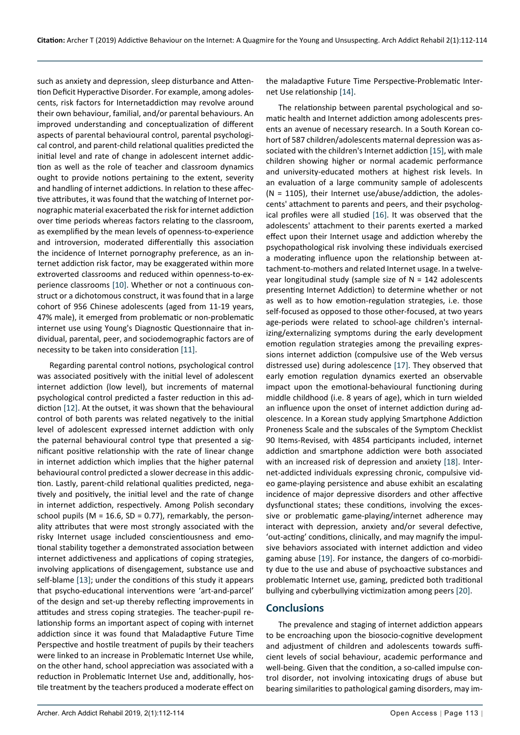such as anxiety and depression, sleep disturbance and Attention Deficit Hyperactive Disorder. For example, among adolescents, risk factors for Internetaddiction may revolve around their own behaviour, familial, and/or parental behaviours. An improved understanding and conceptualization of different aspects of parental behavioural control, parental psychological control, and parent-child relational qualities predicted the initial level and rate of change in adolescent internet addiction as well as the role of teacher and classroom dynamics ought to provide notions pertaining to the extent, severity and handling of internet addictions. In relation to these affective attributes, it was found that the watching of Internet pornographic material exacerbated the risk for internet addiction over time periods whereas factors relating to the classroom, as exemplified by the mean levels of openness-to-experience and introversion, moderated differentially this association the incidence of Internet pornography preference, as an internet addiction risk factor, may be exaggerated within more extroverted classrooms and reduced within openness-to-experience classrooms [[10\]](#page-2-15). Whether or not a continuous construct or a dichotomous construct, it was found that in a large cohort of 956 Chinese adolescents (aged from 11-19 years, 47% male), it emerged from problematic or non-problematic internet use using Young's Diagnostic Questionnaire that individual, parental, peer, and sociodemographic factors are of necessity to be taken into consideration [\[11](#page-2-16)].

Regarding parental control notions, psychological control was associated positively with the initial level of adolescent internet addiction (low level), but increments of maternal psychological control predicted a faster reduction in this addiction [[12\]](#page-2-17). At the outset, it was shown that the behavioural control of both parents was related negatively to the initial level of adolescent expressed internet addiction with only the paternal behavioural control type that presented a significant positive relationship with the rate of linear change in internet addiction which implies that the higher paternal behavioural control predicted a slower decrease in this addiction. Lastly, parent-child relational qualities predicted, negatively and positively, the initial level and the rate of change in internet addiction, respectively. Among Polish secondary school pupils ( $M = 16.6$ , SD = 0.77), remarkably, the personality attributes that were most strongly associated with the risky Internet usage included conscientiousness and emotional stability together a demonstrated association between internet addictiveness and applications of coping strategies, involving applications of disengagement, substance use and self-blame [[13\]](#page-2-18); under the conditions of this study it appears that psycho-educational interventions were 'art-and-parcel' of the design and set-up thereby reflecting improvements in attitudes and stress coping strategies. The teacher-pupil relationship forms an important aspect of coping with internet addiction since it was found that Maladaptive Future Time Perspective and hostile treatment of pupils by their teachers were linked to an increase in Problematic Internet Use while, on the other hand, school appreciation was associated with a reduction in Problematic Internet Use and, additionally, hostile treatment by the teachers produced a moderate effect on

the maladaptive Future Time Perspective-Problematic Internet Use relationship [[14\]](#page-2-8).

The relationship between parental psychological and somatic health and Internet addiction among adolescents presents an avenue of necessary research. In a South Korean cohort of 587 children/adolescents maternal depression was associated with the children's Internet addiction [\[15](#page-2-9)], with male children showing higher or normal academic performance and university-educated mothers at highest risk levels. In an evaluation of a large community sample of adolescents  $(N = 1105)$ , their Internet use/abuse/addiction, the adolescents' attachment to parents and peers, and their psychological profiles were all studied [[16\]](#page-2-10). It was observed that the adolescents' attachment to their parents exerted a marked effect upon their Internet usage and addiction whereby the psychopathological risk involving these individuals exercised a moderating influence upon the relationship between attachment-to-mothers and related Internet usage. In a twelveyear longitudinal study (sample size of  $N = 142$  adolescents presenting Internet Addiction) to determine whether or not as well as to how emotion-regulation strategies, i.e. those self-focused as opposed to those other-focused, at two years age-periods were related to school-age children's internalizing/externalizing symptoms during the early development emotion regulation strategies among the prevailing expressions internet addiction (compulsive use of the Web versus distressed use) during adolescence [\[17](#page-2-11)]. They observed that early emotion regulation dynamics exerted an observable impact upon the emotional-behavioural functioning during middle childhood (i.e. 8 years of age), which in turn wielded an influence upon the onset of internet addiction during adolescence. In a Korean study applying Smartphone Addiction Proneness Scale and the subscales of the Symptom Checklist 90 Items-Revised, with 4854 participants included, internet addiction and smartphone addiction were both associated with an increased risk of depression and anxiety [\[18](#page-2-12)]. Internet-addicted individuals expressing chronic, compulsive video game-playing persistence and abuse exhibit an escalating incidence of major depressive disorders and other affective dysfunctional states; these conditions, involving the excessive or problematic game-playing/internet adherence may interact with depression, anxiety and/or several defective, 'out-acting' conditions, clinically, and may magnify the impulsive behaviors associated with internet addiction and video gaming abuse [[19\]](#page-2-13). For instance, the dangers of co-morbidity due to the use and abuse of psychoactive substances and problematic Internet use, gaming, predicted both traditional bullying and cyberbullying victimization among peers [\[20](#page-2-14)].

### **Conclusions**

The prevalence and staging of internet addiction appears to be encroaching upon the biosocio-cognitive development and adjustment of children and adolescents towards sufficient levels of social behaviour, academic performance and well-being. Given that the condition, a so-called impulse control disorder, not involving intoxicating drugs of abuse but bearing similarities to pathological gaming disorders, may im